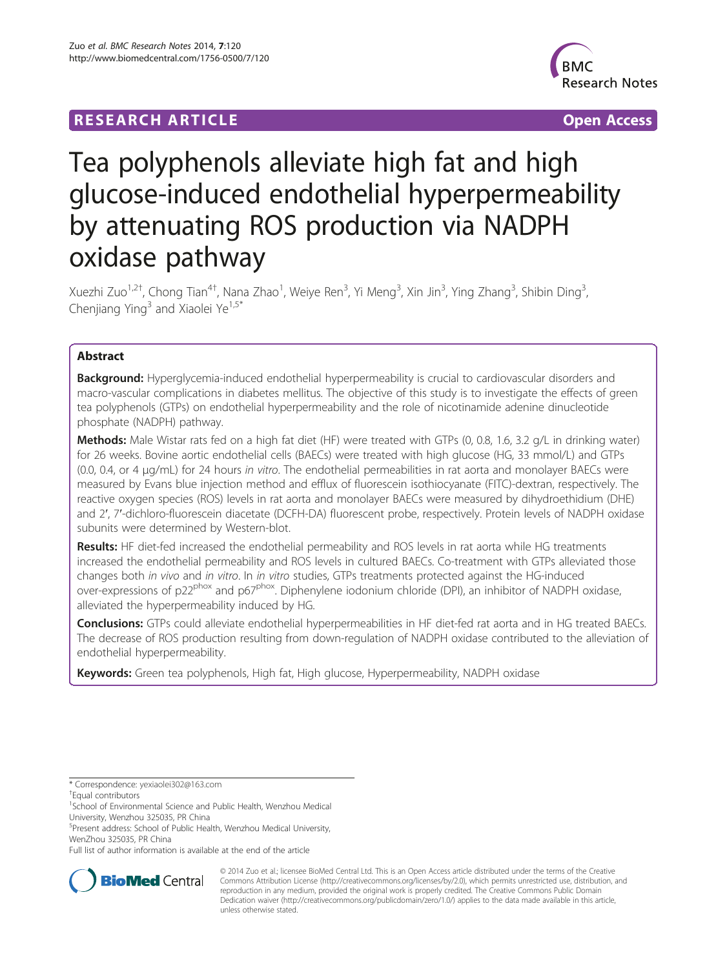## **RESEARCH ARTICLE Example 2014 CONSIDERING A RESEARCH ARTICLE**



# Tea polyphenols alleviate high fat and high glucose-induced endothelial hyperpermeability by attenuating ROS production via NADPH oxidase pathway

Xuezhi Zuo<sup>1,2†</sup>, Chong Tian<sup>4†</sup>, Nana Zhao<sup>1</sup>, Weiye Ren<sup>3</sup>, Yi Meng<sup>3</sup>, Xin Jin<sup>3</sup>, Ying Zhang<sup>3</sup>, Shibin Ding<sup>3</sup> , Chenjiang Ying<sup>3</sup> and Xiaolei Ye<sup>1,5\*</sup>

## Abstract

Background: Hyperglycemia-induced endothelial hyperpermeability is crucial to cardiovascular disorders and macro-vascular complications in diabetes mellitus. The objective of this study is to investigate the effects of green tea polyphenols (GTPs) on endothelial hyperpermeability and the role of nicotinamide adenine dinucleotide phosphate (NADPH) pathway.

Methods: Male Wistar rats fed on a high fat diet (HF) were treated with GTPs (0, 0.8, 1.6, 3.2 g/L in drinking water) for 26 weeks. Bovine aortic endothelial cells (BAECs) were treated with high glucose (HG, 33 mmol/L) and GTPs (0.0, 0.4, or 4 μg/mL) for 24 hours in vitro. The endothelial permeabilities in rat aorta and monolayer BAECs were measured by Evans blue injection method and efflux of fluorescein isothiocyanate (FITC)-dextran, respectively. The reactive oxygen species (ROS) levels in rat aorta and monolayer BAECs were measured by dihydroethidium (DHE) and 2′, 7′-dichloro-fluorescein diacetate (DCFH-DA) fluorescent probe, respectively. Protein levels of NADPH oxidase subunits were determined by Western-blot.

Results: HF diet-fed increased the endothelial permeability and ROS levels in rat aorta while HG treatments increased the endothelial permeability and ROS levels in cultured BAECs. Co-treatment with GTPs alleviated those changes both in vivo and in vitro. In in vitro studies, GTPs treatments protected against the HG-induced over-expressions of p22<sup>phox</sup> and p67<sup>phox</sup>. Diphenylene iodonium chloride (DPI), an inhibitor of NADPH oxidase, alleviated the hyperpermeability induced by HG.

Conclusions: GTPs could alleviate endothelial hyperpermeabilities in HF diet-fed rat aorta and in HG treated BAECs. The decrease of ROS production resulting from down-regulation of NADPH oxidase contributed to the alleviation of endothelial hyperpermeability.

Keywords: Green tea polyphenols, High fat, High glucose, Hyperpermeability, NADPH oxidase

\* Correspondence: [yexiaolei302@163.com](mailto:yexiaolei302@163.com) †

Full list of author information is available at the end of the article



© 2014 Zuo et al.; licensee BioMed Central Ltd. This is an Open Access article distributed under the terms of the Creative Commons Attribution License [\(http://creativecommons.org/licenses/by/2.0\)](http://creativecommons.org/licenses/by/2.0), which permits unrestricted use, distribution, and reproduction in any medium, provided the original work is properly credited. The Creative Commons Public Domain Dedication waiver [\(http://creativecommons.org/publicdomain/zero/1.0/](http://creativecommons.org/publicdomain/zero/1.0/)) applies to the data made available in this article, unless otherwise stated.

Equal contributors

<sup>&</sup>lt;sup>1</sup>School of Environmental Science and Public Health, Wenzhou Medical University, Wenzhou 325035, PR China

<sup>5</sup> Present address: School of Public Health, Wenzhou Medical University, WenZhou 325035, PR China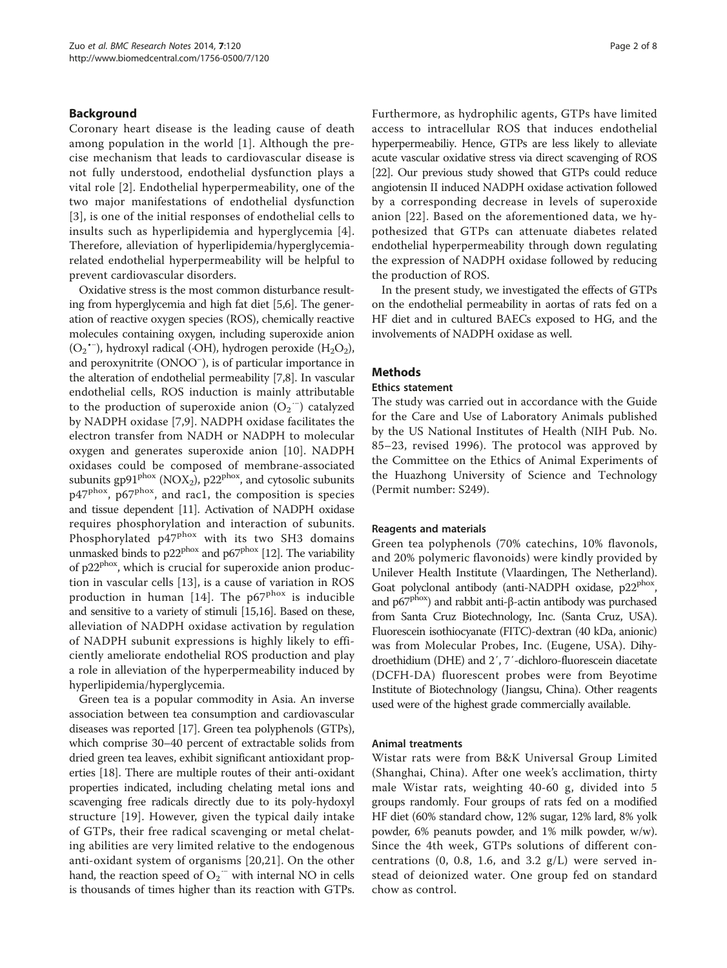## Background

Coronary heart disease is the leading cause of death among population in the world [\[1\]](#page-6-0). Although the precise mechanism that leads to cardiovascular disease is not fully understood, endothelial dysfunction plays a vital role [[2\]](#page-6-0). Endothelial hyperpermeability, one of the two major manifestations of endothelial dysfunction [[3](#page-6-0)], is one of the initial responses of endothelial cells to insults such as hyperlipidemia and hyperglycemia [[4](#page-6-0)]. Therefore, alleviation of hyperlipidemia/hyperglycemiarelated endothelial hyperpermeability will be helpful to prevent cardiovascular disorders.

Oxidative stress is the most common disturbance resulting from hyperglycemia and high fat diet [[5,6](#page-6-0)]. The generation of reactive oxygen species (ROS), chemically reactive molecules containing oxygen, including superoxide anion  $(O_2$ <sup>\*-</sup>), hydroxyl radical (·OH), hydrogen peroxide (H<sub>2</sub>O<sub>2</sub>), and peroxynitrite (ONOO<sup>−</sup> ), is of particular importance in the alteration of endothelial permeability [[7,8](#page-6-0)]. In vascular endothelial cells, ROS induction is mainly attributable to the production of superoxide anion  $(O_2^{\cdot -})$  catalyzed by NADPH oxidase [[7,9](#page-6-0)]. NADPH oxidase facilitates the electron transfer from NADH or NADPH to molecular oxygen and generates superoxide anion [\[10](#page-6-0)]. NADPH oxidases could be composed of membrane-associated subunits gp91<sup>phox</sup> (NOX<sub>2</sub>), p22<sup>phox</sup>, and cytosolic subunits p47<sup>phox</sup>, p67<sup>phox</sup>, and rac1, the composition is species and tissue dependent [\[11\]](#page-6-0). Activation of NADPH oxidase requires phosphorylation and interaction of subunits. Phosphorylated p47<sup>phox</sup> with its two SH3 domains unmasked binds to  $p22^{phox}$  and  $p67^{phox}$  [\[12\]](#page-6-0). The variability of p22<sup>phox</sup>, which is crucial for superoxide anion production in vascular cells [[13\]](#page-6-0), is a cause of variation in ROS production in human [\[14\]](#page-6-0). The  $p67^{phox}$  is inducible and sensitive to a variety of stimuli [\[15,16](#page-6-0)]. Based on these, alleviation of NADPH oxidase activation by regulation of NADPH subunit expressions is highly likely to efficiently ameliorate endothelial ROS production and play a role in alleviation of the hyperpermeability induced by hyperlipidemia/hyperglycemia.

Green tea is a popular commodity in Asia. An inverse association between tea consumption and cardiovascular diseases was reported [\[17\]](#page-6-0). Green tea polyphenols (GTPs), which comprise 30–40 percent of extractable solids from dried green tea leaves, exhibit significant antioxidant properties [\[18\]](#page-6-0). There are multiple routes of their anti-oxidant properties indicated, including chelating metal ions and scavenging free radicals directly due to its poly-hydoxyl structure [\[19\]](#page-7-0). However, given the typical daily intake of GTPs, their free radical scavenging or metal chelating abilities are very limited relative to the endogenous anti-oxidant system of organisms [[20](#page-7-0),[21\]](#page-7-0). On the other hand, the reaction speed of  $O_2$ <sup> $-$ </sup> with internal NO in cells is thousands of times higher than its reaction with GTPs. Furthermore, as hydrophilic agents, GTPs have limited access to intracellular ROS that induces endothelial hyperpermeabiliy. Hence, GTPs are less likely to alleviate acute vascular oxidative stress via direct scavenging of ROS [[22](#page-7-0)]. Our previous study showed that GTPs could reduce angiotensin II induced NADPH oxidase activation followed by a corresponding decrease in levels of superoxide anion [[22\]](#page-7-0). Based on the aforementioned data, we hypothesized that GTPs can attenuate diabetes related endothelial hyperpermeability through down regulating the expression of NADPH oxidase followed by reducing the production of ROS.

In the present study, we investigated the effects of GTPs on the endothelial permeability in aortas of rats fed on a HF diet and in cultured BAECs exposed to HG, and the involvements of NADPH oxidase as well.

#### Methods

#### Ethics statement

The study was carried out in accordance with the Guide for the Care and Use of Laboratory Animals published by the US National Institutes of Health (NIH Pub. No. 85–23, revised 1996). The protocol was approved by the Committee on the Ethics of Animal Experiments of the Huazhong University of Science and Technology (Permit number: S249).

#### Reagents and materials

Green tea polyphenols (70% catechins, 10% flavonols, and 20% polymeric flavonoids) were kindly provided by Unilever Health Institute (Vlaardingen, The Netherland). Goat polyclonal antibody (anti-NADPH oxidase, p22<sup>phox</sup>, and  $p67^{pbox}$ ) and rabbit anti-β-actin antibody was purchased from Santa Cruz Biotechnology, Inc. (Santa Cruz, USA). Fluorescein isothiocyanate (FITC)-dextran (40 kDa, anionic) was from Molecular Probes, Inc. (Eugene, USA). Dihydroethidium (DHE) and 2′, 7′-dichloro-fluorescein diacetate (DCFH-DA) fluorescent probes were from Beyotime Institute of Biotechnology (Jiangsu, China). Other reagents used were of the highest grade commercially available.

#### Animal treatments

Wistar rats were from B&K Universal Group Limited (Shanghai, China). After one week's acclimation, thirty male Wistar rats, weighting 40-60 g, divided into 5 groups randomly. Four groups of rats fed on a modified HF diet (60% standard chow, 12% sugar, 12% lard, 8% yolk powder, 6% peanuts powder, and 1% milk powder, w/w). Since the 4th week, GTPs solutions of different concentrations  $(0, 0.8, 1.6,$  and  $3.2$  g/L) were served instead of deionized water. One group fed on standard chow as control.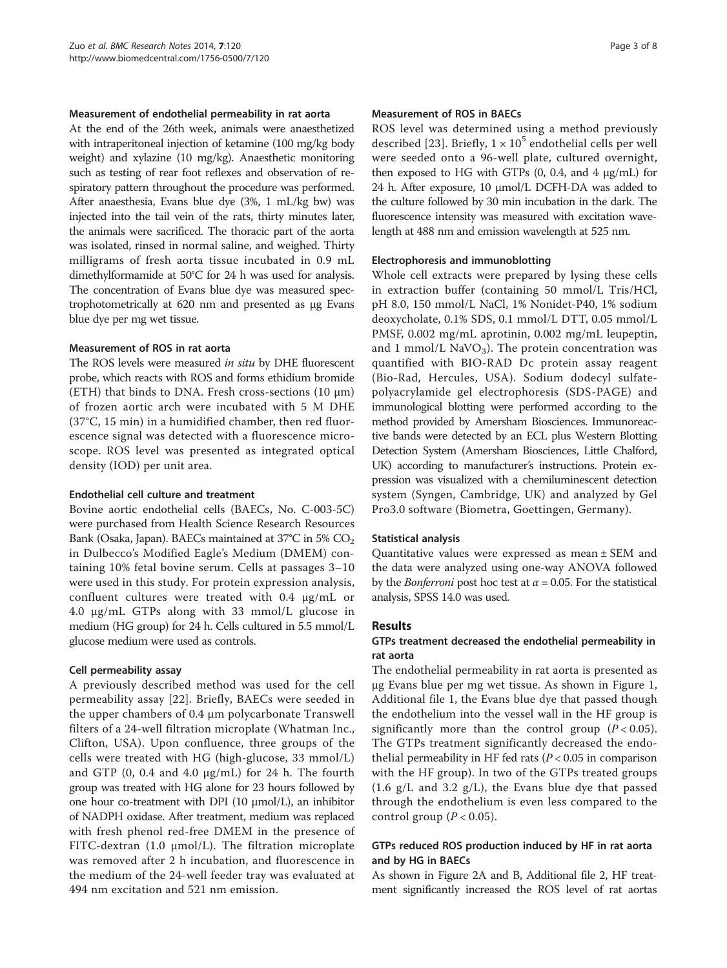#### Measurement of endothelial permeability in rat aorta

At the end of the 26th week, animals were anaesthetized with intraperitoneal injection of ketamine (100 mg/kg body weight) and xylazine (10 mg/kg). Anaesthetic monitoring such as testing of rear foot reflexes and observation of respiratory pattern throughout the procedure was performed. After anaesthesia, Evans blue dye (3%, 1 mL/kg bw) was injected into the tail vein of the rats, thirty minutes later, the animals were sacrificed. The thoracic part of the aorta was isolated, rinsed in normal saline, and weighed. Thirty milligrams of fresh aorta tissue incubated in 0.9 mL dimethylformamide at 50°C for 24 h was used for analysis. The concentration of Evans blue dye was measured spectrophotometrically at 620 nm and presented as μg Evans blue dye per mg wet tissue.

#### Measurement of ROS in rat aorta

The ROS levels were measured in situ by DHE fluorescent probe, which reacts with ROS and forms ethidium bromide (ETH) that binds to DNA. Fresh cross-sections  $(10 \mu m)$ of frozen aortic arch were incubated with 5 M DHE (37°C, 15 min) in a humidified chamber, then red fluorescence signal was detected with a fluorescence microscope. ROS level was presented as integrated optical density (IOD) per unit area.

#### Endothelial cell culture and treatment

Bovine aortic endothelial cells (BAECs, No. C-003-5C) were purchased from Health Science Research Resources Bank (Osaka, Japan). BAECs maintained at  $37^{\circ}$ C in 5% CO<sub>2</sub> in Dulbecco's Modified Eagle's Medium (DMEM) containing 10% fetal bovine serum. Cells at passages 3–10 were used in this study. For protein expression analysis, confluent cultures were treated with 0.4 μg/mL or 4.0 μg/mL GTPs along with 33 mmol/L glucose in medium (HG group) for 24 h. Cells cultured in 5.5 mmol/L glucose medium were used as controls.

## Cell permeability assay

A previously described method was used for the cell permeability assay [\[22\]](#page-7-0). Briefly, BAECs were seeded in the upper chambers of 0.4 μm polycarbonate Transwell filters of a 24-well filtration microplate (Whatman Inc., Clifton, USA). Upon confluence, three groups of the cells were treated with HG (high-glucose, 33 mmol/L) and GTP (0, 0.4 and 4.0 μg/mL) for 24 h. The fourth group was treated with HG alone for 23 hours followed by one hour co-treatment with DPI (10 μmol/L), an inhibitor of NADPH oxidase. After treatment, medium was replaced with fresh phenol red-free DMEM in the presence of FITC-dextran (1.0 μmol/L). The filtration microplate was removed after 2 h incubation, and fluorescence in the medium of the 24-well feeder tray was evaluated at 494 nm excitation and 521 nm emission.

#### Measurement of ROS in BAECs

ROS level was determined using a method previously described [\[23](#page-7-0)]. Briefly,  $1 \times 10^5$  endothelial cells per well were seeded onto a 96-well plate, cultured overnight, then exposed to HG with GTPs  $(0, 0.4, \text{ and } 4 \mu\text{g/mL})$  for 24 h. After exposure, 10 μmol/L DCFH-DA was added to the culture followed by 30 min incubation in the dark. The fluorescence intensity was measured with excitation wavelength at 488 nm and emission wavelength at 525 nm.

## Electrophoresis and immunoblotting

Whole cell extracts were prepared by lysing these cells in extraction buffer (containing 50 mmol/L Tris/HCl, pH 8.0, 150 mmol/L NaCl, 1% Nonidet-P40, 1% sodium deoxycholate, 0.1% SDS, 0.1 mmol/L DTT, 0.05 mmol/L PMSF, 0.002 mg/mL aprotinin, 0.002 mg/mL leupeptin, and 1 mmol/L  $\text{NaVO}_3$ ). The protein concentration was quantified with BIO-RAD Dc protein assay reagent (Bio-Rad, Hercules, USA). Sodium dodecyl sulfatepolyacrylamide gel electrophoresis (SDS-PAGE) and immunological blotting were performed according to the method provided by Amersham Biosciences. Immunoreactive bands were detected by an ECL plus Western Blotting Detection System (Amersham Biosciences, Little Chalford, UK) according to manufacturer's instructions. Protein expression was visualized with a chemiluminescent detection system (Syngen, Cambridge, UK) and analyzed by Gel Pro3.0 software (Biometra, Goettingen, Germany).

## Statistical analysis

Quantitative values were expressed as mean ± SEM and the data were analyzed using one-way ANOVA followed by the *Bonferroni* post hoc test at  $\alpha$  = 0.05. For the statistical analysis, SPSS 14.0 was used.

## Results

## GTPs treatment decreased the endothelial permeability in rat aorta

The endothelial permeability in rat aorta is presented as μg Evans blue per mg wet tissue. As shown in Figure [1](#page-3-0), Additional file [1,](#page-6-0) the Evans blue dye that passed though the endothelium into the vessel wall in the HF group is significantly more than the control group  $(P < 0.05)$ . The GTPs treatment significantly decreased the endothelial permeability in HF fed rats ( $P < 0.05$  in comparison with the HF group). In two of the GTPs treated groups (1.6  $g/L$  and 3.2  $g/L$ ), the Evans blue dye that passed through the endothelium is even less compared to the control group  $(P < 0.05)$ .

## GTPs reduced ROS production induced by HF in rat aorta and by HG in BAECs

As shown in Figure [2A](#page-4-0) and B, Additional file [2](#page-6-0), HF treatment significantly increased the ROS level of rat aortas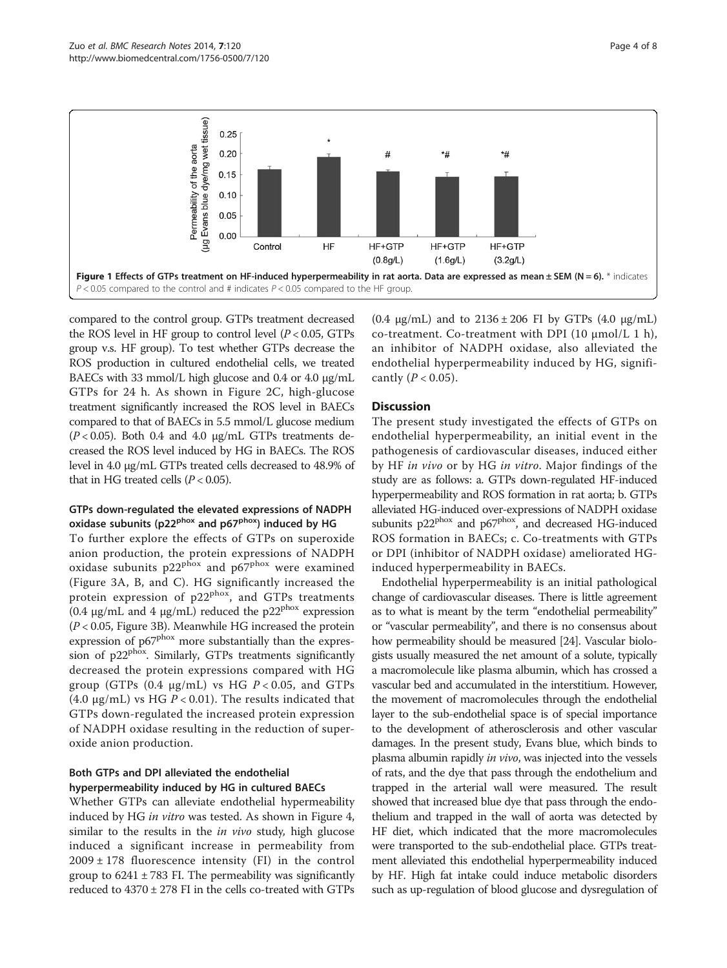<span id="page-3-0"></span>

compared to the control group. GTPs treatment decreased the ROS level in HF group to control level  $(P < 0.05, GTPs$ group v.s. HF group). To test whether GTPs decrease the ROS production in cultured endothelial cells, we treated BAECs with 33 mmol/L high glucose and 0.4 or 4.0 μg/mL GTPs for 24 h. As shown in Figure [2](#page-4-0)C, high-glucose treatment significantly increased the ROS level in BAECs compared to that of BAECs in 5.5 mmol/L glucose medium  $(P < 0.05)$ . Both 0.4 and 4.0  $\mu$ g/mL GTPs treatments decreased the ROS level induced by HG in BAECs. The ROS level in 4.0 μg/mL GTPs treated cells decreased to 48.9% of that in HG treated cells  $(P < 0.05)$ .

## GTPs down-regulated the elevated expressions of NADPH oxidase subunits (p22<sup>phox</sup> and p67<sup>phox</sup>) induced by HG

To further explore the effects of GTPs on superoxide anion production, the protein expressions of NADPH oxidase subunits p22<sup>phox</sup> and p67<sup>phox</sup> were examined (Figure [3](#page-5-0)A, B, and C). HG significantly increased the protein expression of  $p22^{phox}$ , and GTPs treatments (0.4  $\mu$ g/mL and 4  $\mu$ g/mL) reduced the p22<sup>phox</sup> expression  $(P < 0.05$ , Figure [3](#page-5-0)B). Meanwhile HG increased the protein expression of p67<sup>phox</sup> more substantially than the expression of  $p22^{pbox}$ . Similarly, GTPs treatments significantly decreased the protein expressions compared with HG group (GTPs  $(0.4 \text{ µg/mL})$  vs HG  $P < 0.05$ , and GTPs (4.0  $\mu$ g/mL) vs HG P < 0.01). The results indicated that GTPs down-regulated the increased protein expression of NADPH oxidase resulting in the reduction of superoxide anion production.

## Both GTPs and DPI alleviated the endothelial hyperpermeability induced by HG in cultured BAECs

Whether GTPs can alleviate endothelial hypermeability induced by HG in vitro was tested. As shown in Figure [4](#page-5-0), similar to the results in the *in vivo* study, high glucose induced a significant increase in permeability from  $2009 \pm 178$  fluorescence intensity (FI) in the control group to  $6241 \pm 783$  FI. The permeability was significantly reduced to 4370 ± 278 FI in the cells co-treated with GTPs

 $(0.4 \text{ μg/mL})$  and to  $2136 \pm 206 \text{ FI}$  by GTPs  $(4.0 \text{ μg/mL})$ co-treatment. Co-treatment with DPI (10 μmol/L 1 h), an inhibitor of NADPH oxidase, also alleviated the endothelial hyperpermeability induced by HG, significantly  $(P < 0.05)$ .

## **Discussion**

The present study investigated the effects of GTPs on endothelial hyperpermeability, an initial event in the pathogenesis of cardiovascular diseases, induced either by HF in vivo or by HG in vitro. Major findings of the study are as follows: a. GTPs down-regulated HF-induced hyperpermeability and ROS formation in rat aorta; b. GTPs alleviated HG-induced over-expressions of NADPH oxidase subunits  $p22^{phox}$  and  $p67^{phox}$ , and decreased HG-induced ROS formation in BAECs; c. Co-treatments with GTPs or DPI (inhibitor of NADPH oxidase) ameliorated HGinduced hyperpermeability in BAECs.

Endothelial hyperpermeability is an initial pathological change of cardiovascular diseases. There is little agreement as to what is meant by the term "endothelial permeability" or "vascular permeability", and there is no consensus about how permeability should be measured [[24](#page-7-0)]. Vascular biologists usually measured the net amount of a solute, typically a macromolecule like plasma albumin, which has crossed a vascular bed and accumulated in the interstitium. However, the movement of macromolecules through the endothelial layer to the sub-endothelial space is of special importance to the development of atherosclerosis and other vascular damages. In the present study, Evans blue, which binds to plasma albumin rapidly in vivo, was injected into the vessels of rats, and the dye that pass through the endothelium and trapped in the arterial wall were measured. The result showed that increased blue dye that pass through the endothelium and trapped in the wall of aorta was detected by HF diet, which indicated that the more macromolecules were transported to the sub-endothelial place. GTPs treatment alleviated this endothelial hyperpermeability induced by HF. High fat intake could induce metabolic disorders such as up-regulation of blood glucose and dysregulation of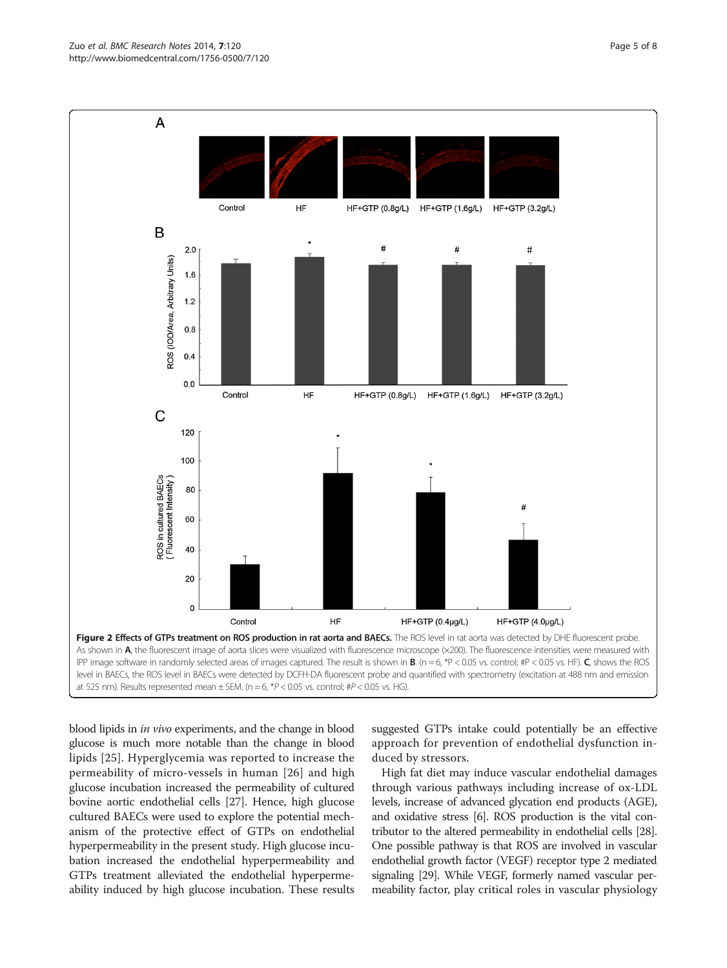blood lipids in in vivo experiments, and the change in blood glucose is much more notable than the change in blood lipids [[25](#page-7-0)]. Hyperglycemia was reported to increase the permeability of micro-vessels in human [\[26\]](#page-7-0) and high glucose incubation increased the permeability of cultured bovine aortic endothelial cells [[27](#page-7-0)]. Hence, high glucose cultured BAECs were used to explore the potential mechanism of the protective effect of GTPs on endothelial hyperpermeability in the present study. High glucose incubation increased the endothelial hyperpermeability and GTPs treatment alleviated the endothelial hyperpermeability induced by high glucose incubation. These results

suggested GTPs intake could potentially be an effective approach for prevention of endothelial dysfunction induced by stressors.

High fat diet may induce vascular endothelial damages through various pathways including increase of ox-LDL levels, increase of advanced glycation end products (AGE), and oxidative stress [[6](#page-6-0)]. ROS production is the vital contributor to the altered permeability in endothelial cells [\[28](#page-7-0)]. One possible pathway is that ROS are involved in vascular endothelial growth factor (VEGF) receptor type 2 mediated signaling [\[29](#page-7-0)]. While VEGF, formerly named vascular permeability factor, play critical roles in vascular physiology

<span id="page-4-0"></span>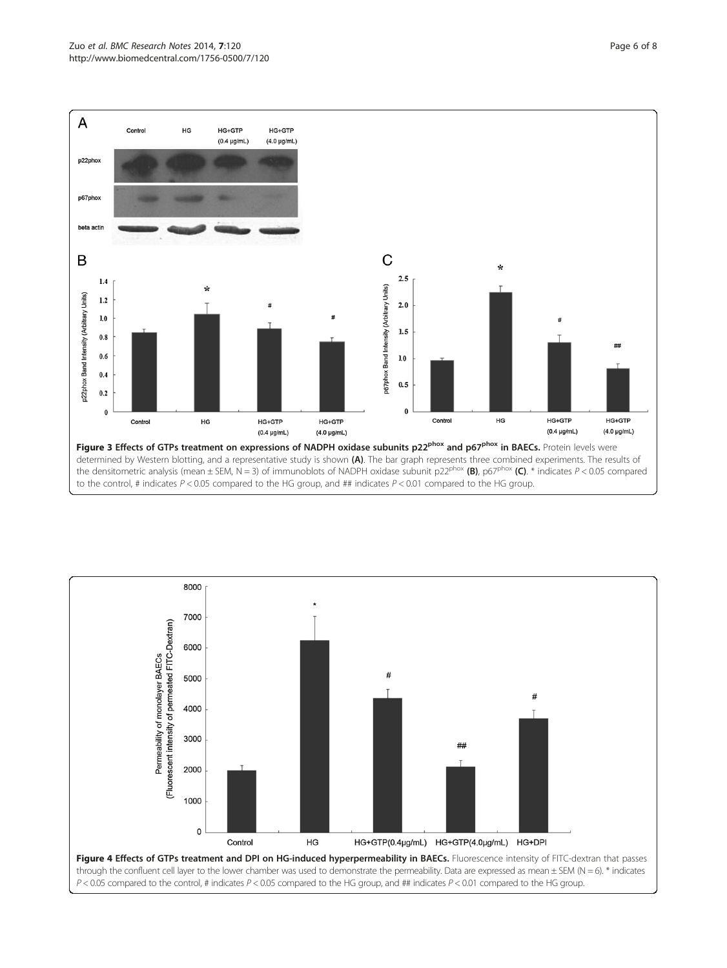<span id="page-5-0"></span>

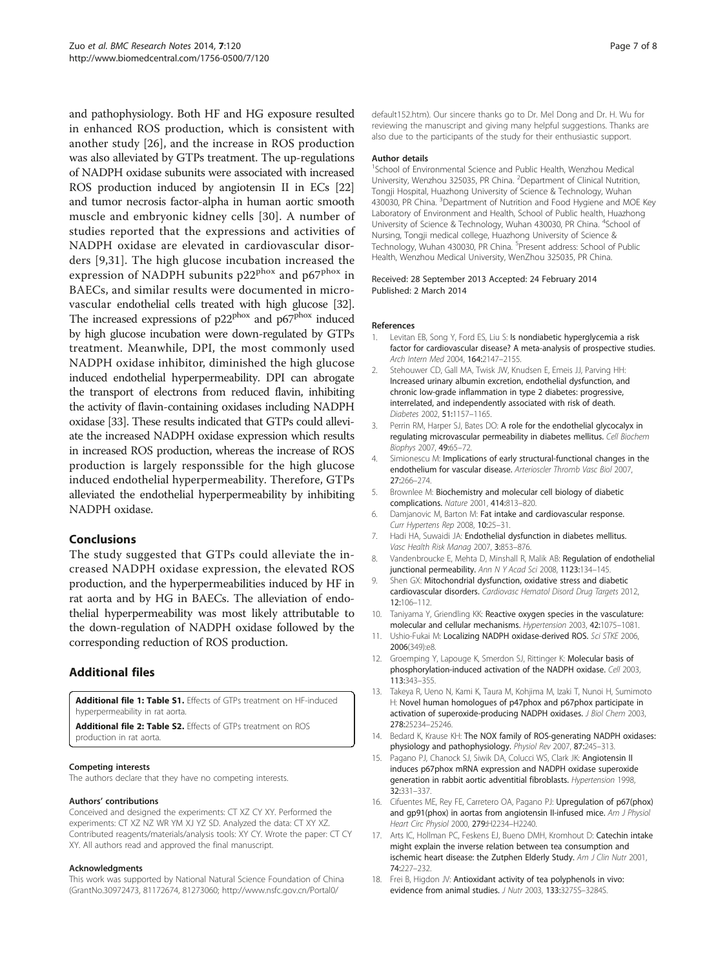<span id="page-6-0"></span>and pathophysiology. Both HF and HG exposure resulted in enhanced ROS production, which is consistent with another study [[26\]](#page-7-0), and the increase in ROS production was also alleviated by GTPs treatment. The up-regulations of NADPH oxidase subunits were associated with increased ROS production induced by angiotensin II in ECs [[22](#page-7-0)] and tumor necrosis factor-alpha in human aortic smooth muscle and embryonic kidney cells [[30](#page-7-0)]. A number of studies reported that the expressions and activities of NADPH oxidase are elevated in cardiovascular disorders [9,[31\]](#page-7-0). The high glucose incubation increased the expression of NADPH subunits  $p22^{phox}$  and  $p67^{phox}$  in BAECs, and similar results were documented in microvascular endothelial cells treated with high glucose [\[32](#page-7-0)]. The increased expressions of p22<sup>phox</sup> and p67<sup>phox</sup> induced by high glucose incubation were down-regulated by GTPs treatment. Meanwhile, DPI, the most commonly used NADPH oxidase inhibitor, diminished the high glucose induced endothelial hyperpermeability. DPI can abrogate the transport of electrons from reduced flavin, inhibiting the activity of flavin-containing oxidases including NADPH oxidase [\[33\]](#page-7-0). These results indicated that GTPs could alleviate the increased NADPH oxidase expression which results in increased ROS production, whereas the increase of ROS production is largely responssible for the high glucose induced endothelial hyperpermeability. Therefore, GTPs alleviated the endothelial hyperpermeability by inhibiting NADPH oxidase.

## Conclusions

The study suggested that GTPs could alleviate the increased NADPH oxidase expression, the elevated ROS production, and the hyperpermeabilities induced by HF in rat aorta and by HG in BAECs. The alleviation of endothelial hyperpermeability was most likely attributable to the down-regulation of NADPH oxidase followed by the corresponding reduction of ROS production.

## Additional files

[Additional file 1: Table S1.](http://www.biomedcentral.com/content/supplementary/1756-0500-7-120-S1.xls) Effects of GTPs treatment on HF-induced hyperpermeability in rat aorta.

[Additional file 2: Table S2.](http://www.biomedcentral.com/content/supplementary/1756-0500-7-120-S2.xls) Effects of GTPs treatment on ROS production in rat aorta.

#### Competing interests

The authors declare that they have no competing interests.

#### Authors' contributions

Conceived and designed the experiments: CT XZ CY XY. Performed the experiments: CT XZ NZ WR YM XJ YZ SD. Analyzed the data: CT XY XZ. Contributed reagents/materials/analysis tools: XY CY. Wrote the paper: CT CY XY. All authors read and approved the final manuscript.

#### Acknowledgments

This work was supported by National Natural Science Foundation of China (GrantNo.30972473, 81172674, 81273060; [http://www.nsfc.gov.cn/Portal0/](http://www.nsfc.gov.cn/Portal0/default152.htm)

[default152.htm\)](http://www.nsfc.gov.cn/Portal0/default152.htm). Our sincere thanks go to Dr. Mel Dong and Dr. H. Wu for reviewing the manuscript and giving many helpful suggestions. Thanks are also due to the participants of the study for their enthusiastic support.

#### Author details

<sup>1</sup>School of Environmental Science and Public Health, Wenzhou Medical University, Wenzhou 325035, PR China. <sup>2</sup>Department of Clinical Nutrition Tongji Hospital, Huazhong University of Science & Technology, Wuhan 430030, PR China. <sup>3</sup>Department of Nutrition and Food Hygiene and MOE Key Laboratory of Environment and Health, School of Public health, Huazhong University of Science & Technology, Wuhan 430030, PR China. <sup>4</sup>School of Nursing, Tongji medical college, Huazhong University of Science & Technology, Wuhan 430030, PR China. <sup>5</sup>Present address: School of Public Health, Wenzhou Medical University, WenZhou 325035, PR China.

#### Received: 28 September 2013 Accepted: 24 February 2014 Published: 2 March 2014

#### References

- 1. Levitan EB, Song Y, Ford ES, Liu S: Is nondiabetic hyperglycemia a risk factor for cardiovascular disease? A meta-analysis of prospective studies. Arch Intern Med 2004, 164:2147–2155.
- 2. Stehouwer CD, Gall MA, Twisk JW, Knudsen E, Emeis JJ, Parving HH: Increased urinary albumin excretion, endothelial dysfunction, and chronic low-grade inflammation in type 2 diabetes: progressive, interrelated, and independently associated with risk of death. Diabetes 2002, 51:1157–1165.
- 3. Perrin RM, Harper SJ, Bates DO: A role for the endothelial glycocalyx in regulating microvascular permeability in diabetes mellitus. Cell Biochem Biophys 2007, 49:65–72.
- 4. Simionescu M: Implications of early structural-functional changes in the endothelium for vascular disease. Arterioscler Thromb Vasc Biol 2007, 27:266–274.
- 5. Brownlee M: Biochemistry and molecular cell biology of diabetic complications. Nature 2001, 414:813–820.
- 6. Damjanovic M, Barton M: Fat intake and cardiovascular response. Curr Hypertens Rep 2008, 10:25–31.
- 7. Hadi HA, Suwaidi JA: Endothelial dysfunction in diabetes mellitus. Vasc Health Risk Manag 2007, 3:853–876.
- 8. Vandenbroucke E, Mehta D, Minshall R, Malik AB: Regulation of endothelial junctional permeability. Ann N Y Acad Sci 2008, 1123:134-145.
- 9. Shen GX: Mitochondrial dysfunction, oxidative stress and diabetic cardiovascular disorders. Cardiovasc Hematol Disord Drug Targets 2012, 12:106–112.
- 10. Taniyama Y, Griendling KK: Reactive oxygen species in the vasculature: molecular and cellular mechanisms. Hypertension 2003, 42:1075–1081.
- 11. Ushio-Fukai M: Localizing NADPH oxidase-derived ROS. Sci STKE 2006, 2006(349):e8.
- 12. Groemping Y, Lapouge K, Smerdon SJ, Rittinger K: Molecular basis of phosphorylation-induced activation of the NADPH oxidase. Cell 2003, 113:343–355.
- 13. Takeya R, Ueno N, Kami K, Taura M, Kohjima M, Izaki T, Nunoi H, Sumimoto H: Novel human homologues of p47phox and p67phox participate in activation of superoxide-producing NADPH oxidases. J Biol Chem 2003, 278:25234–25246.
- 14. Bedard K, Krause KH: The NOX family of ROS-generating NADPH oxidases: physiology and pathophysiology. Physiol Rev 2007, 87:245–313.
- 15. Pagano PJ, Chanock SJ, Siwik DA, Colucci WS, Clark JK: Angiotensin II induces p67phox mRNA expression and NADPH oxidase superoxide generation in rabbit aortic adventitial fibroblasts. Hypertension 1998, 32:331–337.
- 16. Cifuentes ME, Rey FE, Carretero OA, Pagano PJ: Upregulation of p67(phox) and qp91(phox) in aortas from angiotensin II-infused mice. Am J Physiol Heart Circ Physiol 2000, 279: H2234-H2240.
- 17. Arts IC, Hollman PC, Feskens EJ, Bueno DMH, Kromhout D: Catechin intake might explain the inverse relation between tea consumption and ischemic heart disease: the Zutphen Elderly Study. Am J Clin Nutr 2001, 74:227–232.
- 18. Frei B, Higdon JV: Antioxidant activity of tea polyphenols in vivo: evidence from animal studies. J Nutr 2003, 133:3275S–3284S.